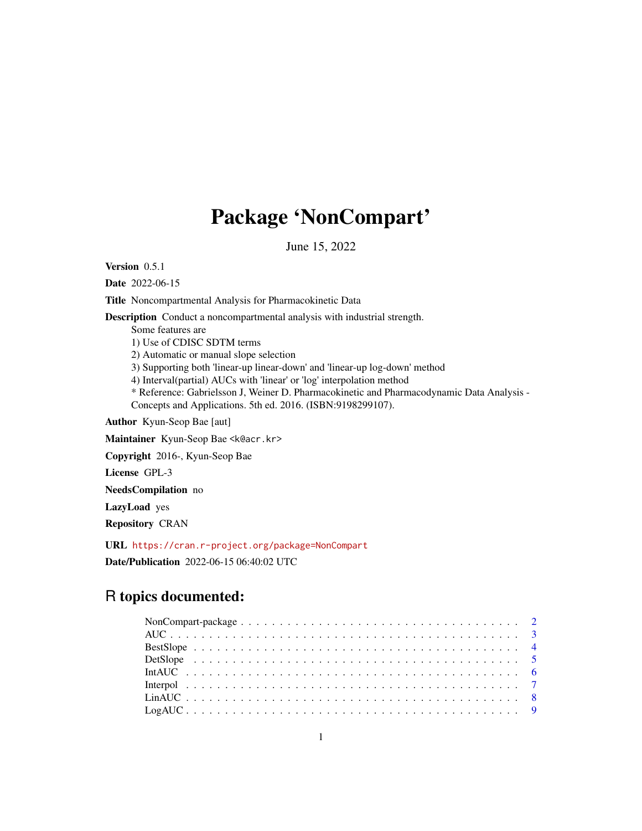## Package 'NonCompart'

June 15, 2022

<span id="page-0-0"></span>Version 0.5.1

Date 2022-06-15

Title Noncompartmental Analysis for Pharmacokinetic Data

Description Conduct a noncompartmental analysis with industrial strength.

Some features are

1) Use of CDISC SDTM terms

2) Automatic or manual slope selection

3) Supporting both 'linear-up linear-down' and 'linear-up log-down' method

4) Interval(partial) AUCs with 'linear' or 'log' interpolation method

\* Reference: Gabrielsson J, Weiner D. Pharmacokinetic and Pharmacodynamic Data Analysis - Concepts and Applications. 5th ed. 2016. (ISBN:9198299107).

Author Kyun-Seop Bae [aut]

Maintainer Kyun-Seop Bae <k@acr.kr>

Copyright 2016-, Kyun-Seop Bae

License GPL-3

NeedsCompilation no

LazyLoad yes

Repository CRAN

URL <https://cran.r-project.org/package=NonCompart>

Date/Publication 2022-06-15 06:40:02 UTC

### R topics documented: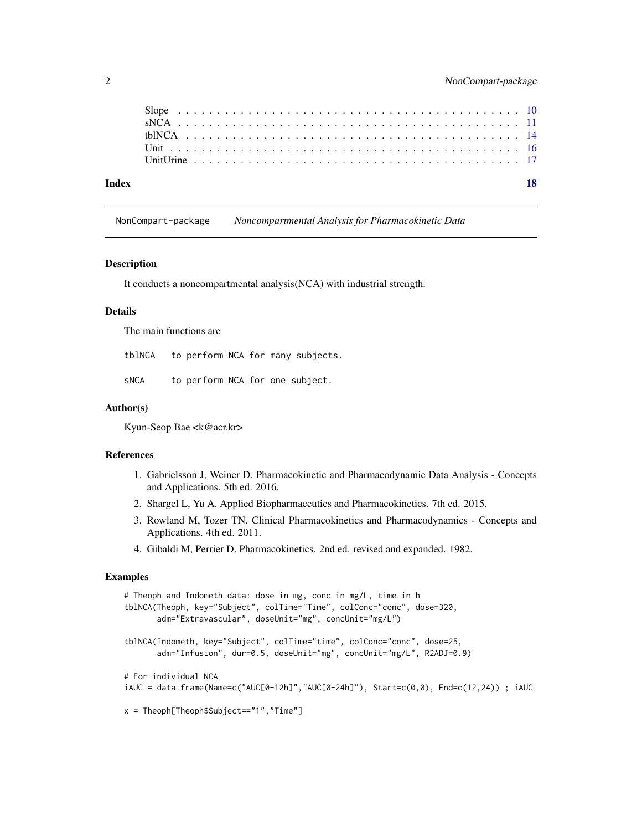<span id="page-1-0"></span>

|  |  |  |  |  |  |  |  |  |  |  |  |  |  |  |  |  |  |  |  | 18 |
|--|--|--|--|--|--|--|--|--|--|--|--|--|--|--|--|--|--|--|--|----|
|  |  |  |  |  |  |  |  |  |  |  |  |  |  |  |  |  |  |  |  |    |
|  |  |  |  |  |  |  |  |  |  |  |  |  |  |  |  |  |  |  |  |    |
|  |  |  |  |  |  |  |  |  |  |  |  |  |  |  |  |  |  |  |  |    |
|  |  |  |  |  |  |  |  |  |  |  |  |  |  |  |  |  |  |  |  |    |
|  |  |  |  |  |  |  |  |  |  |  |  |  |  |  |  |  |  |  |  |    |

NonCompart-package *Noncompartmental Analysis for Pharmacokinetic Data*

#### Description

It conducts a noncompartmental analysis(NCA) with industrial strength.

#### Details

The main functions are

tblNCA to perform NCA for many subjects.

sNCA to perform NCA for one subject.

#### Author(s)

Kyun-Seop Bae <k@acr.kr>

#### References

- 1. Gabrielsson J, Weiner D. Pharmacokinetic and Pharmacodynamic Data Analysis Concepts and Applications. 5th ed. 2016.
- 2. Shargel L, Yu A. Applied Biopharmaceutics and Pharmacokinetics. 7th ed. 2015.
- 3. Rowland M, Tozer TN. Clinical Pharmacokinetics and Pharmacodynamics Concepts and Applications. 4th ed. 2011.
- 4. Gibaldi M, Perrier D. Pharmacokinetics. 2nd ed. revised and expanded. 1982.

```
# Theoph and Indometh data: dose in mg, conc in mg/L, time in h
tblNCA(Theoph, key="Subject", colTime="Time", colConc="conc", dose=320,
      adm="Extravascular", doseUnit="mg", concUnit="mg/L")
tblNCA(Indometh, key="Subject", colTime="time", colConc="conc", dose=25,
      adm="Infusion", dur=0.5, doseUnit="mg", concUnit="mg/L", R2ADJ=0.9)
# For individual NCA
iAUC = data.frame(Name=c("AUC[0-12h]","AUC[0-24h]"), Start=c(0,0), End=c(12,24)) ; iAUC
x = Theoph[Theoph$Subject=="1","Time"]
```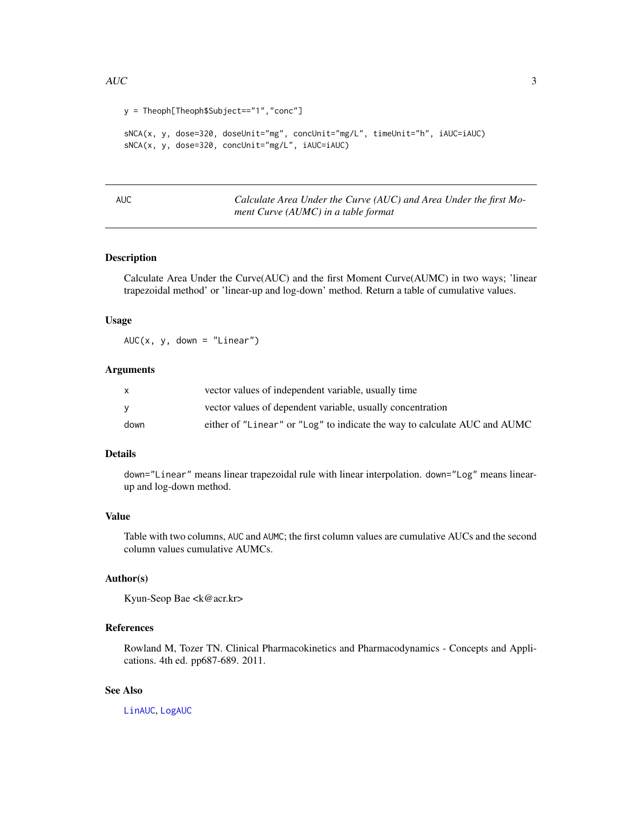```
y = Theoph[Theoph$Subject=="1","conc"]
sNCA(x, y, dose=320, doseUnit="mg", concUnit="mg/L", timeUnit="h", iAUC=iAUC)
sNCA(x, y, dose=320, concUnit="mg/L", iAUC=iAUC)
```
<span id="page-2-1"></span>

AUC *Calculate Area Under the Curve (AUC) and Area Under the first Moment Curve (AUMC) in a table format*

#### Description

Calculate Area Under the Curve(AUC) and the first Moment Curve(AUMC) in two ways; 'linear trapezoidal method' or 'linear-up and log-down' method. Return a table of cumulative values.

#### Usage

 $AUC(x, y, down = "Linear")$ 

#### Arguments

|      | vector values of independent variable, usually time                       |
|------|---------------------------------------------------------------------------|
|      | vector values of dependent variable, usually concentration                |
| down | either of "Linear" or "Log" to indicate the way to calculate AUC and AUMC |

#### Details

down="Linear" means linear trapezoidal rule with linear interpolation. down="Log" means linearup and log-down method.

#### Value

Table with two columns, AUC and AUMC; the first column values are cumulative AUCs and the second column values cumulative AUMCs.

#### Author(s)

Kyun-Seop Bae <k@acr.kr>

#### References

Rowland M, Tozer TN. Clinical Pharmacokinetics and Pharmacodynamics - Concepts and Applications. 4th ed. pp687-689. 2011.

#### See Also

[LinAUC](#page-7-1), [LogAUC](#page-8-1)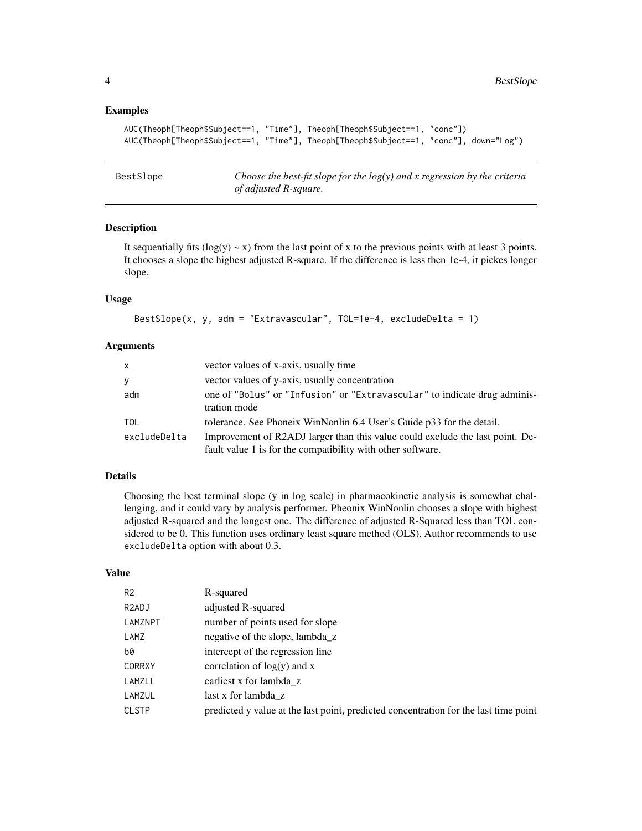#### <span id="page-3-0"></span>Examples

```
AUC(Theoph[Theoph$Subject==1, "Time"], Theoph[Theoph$Subject==1, "conc"])
AUC(Theoph[Theoph$Subject==1, "Time"], Theoph[Theoph$Subject==1, "conc"], down="Log")
```
<span id="page-3-1"></span>BestSlope *Choose the best-fit slope for the log(y) and x regression by the criteria of adjusted R-square.*

#### Description

It sequentially fits  $(log(y) \sim x)$  from the last point of x to the previous points with at least 3 points. It chooses a slope the highest adjusted R-square. If the difference is less then 1e-4, it pickes longer slope.

#### Usage

```
BestSlope(x, y, adm = "Extravascular", TOL=1e-4, excludeDelta = 1)
```
#### Arguments

| $\mathsf{x}$ | vector values of x-axis, usually time                                                                                                        |
|--------------|----------------------------------------------------------------------------------------------------------------------------------------------|
| y            | vector values of y-axis, usually concentration                                                                                               |
| adm          | one of "Bolus" or "Infusion" or "Extravascular" to indicate drug adminis-<br>tration mode                                                    |
| <b>TOL</b>   | tolerance. See Phoneix WinNonlin 6.4 User's Guide p33 for the detail.                                                                        |
| excludeDelta | Improvement of R2ADJ larger than this value could exclude the last point. De-<br>fault value 1 is for the compatibility with other software. |

#### Details

Choosing the best terminal slope (y in log scale) in pharmacokinetic analysis is somewhat challenging, and it could vary by analysis performer. Pheonix WinNonlin chooses a slope with highest adjusted R-squared and the longest one. The difference of adjusted R-Squared less than TOL considered to be 0. This function uses ordinary least square method (OLS). Author recommends to use excludeDelta option with about 0.3.

#### Value

| R-squared                                                                            |
|--------------------------------------------------------------------------------------|
| adjusted R-squared                                                                   |
| number of points used for slope                                                      |
| negative of the slope, lambda_z                                                      |
| intercept of the regression line                                                     |
| correlation of $log(y)$ and x                                                        |
| earliest x for lambda z                                                              |
| last x for lambda z                                                                  |
| predicted y value at the last point, predicted concentration for the last time point |
|                                                                                      |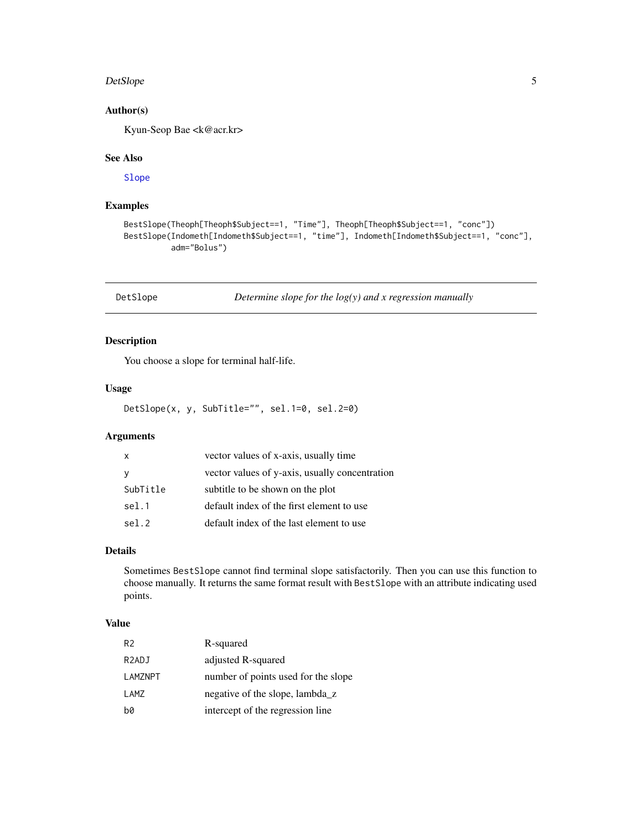#### <span id="page-4-0"></span>DetSlope 5

#### Author(s)

Kyun-Seop Bae <k@acr.kr>

#### See Also

[Slope](#page-9-1)

#### Examples

```
BestSlope(Theoph[Theoph$Subject==1, "Time"], Theoph[Theoph$Subject==1, "conc"])
BestSlope(Indometh[Indometh$Subject==1, "time"], Indometh[Indometh$Subject==1, "conc"],
         adm="Bolus")
```
DetSlope *Determine slope for the log(y) and x regression manually*

#### Description

You choose a slope for terminal half-life.

#### Usage

DetSlope(x, y, SubTitle="", sel.1=0, sel.2=0)

#### Arguments

| X        | vector values of x-axis, usually time          |
|----------|------------------------------------------------|
| <b>V</b> | vector values of y-axis, usually concentration |
| SubTitle | subtitle to be shown on the plot               |
| sel.1    | default index of the first element to use      |
| sel.2    | default index of the last element to use       |

#### Details

Sometimes BestSlope cannot find terminal slope satisfactorily. Then you can use this function to choose manually. It returns the same format result with BestSlope with an attribute indicating used points.

#### Value

| R <sub>2</sub>     | R-squared                           |
|--------------------|-------------------------------------|
| R <sub>2</sub> ADJ | adjusted R-squared                  |
| LAMZNPT            | number of points used for the slope |
| LAMZ               | negative of the slope, lambda_z     |
| b0                 | intercept of the regression line    |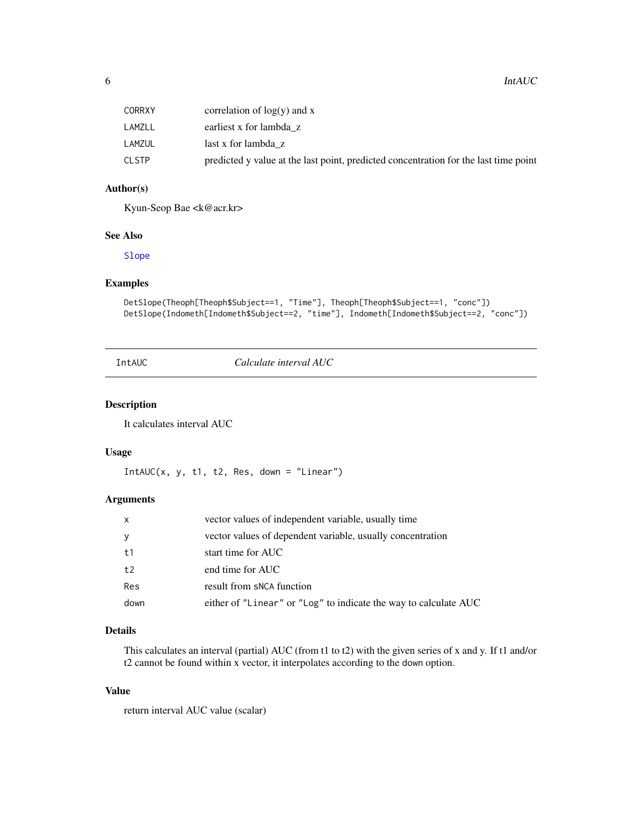<span id="page-5-0"></span>

| CORRXY | correlation of $log(y)$ and x                                                        |
|--------|--------------------------------------------------------------------------------------|
| LAMZLL | earliest x for lambda z                                                              |
| LAMZUL | last x for lambda z                                                                  |
| CLSTP  | predicted y value at the last point, predicted concentration for the last time point |

#### Author(s)

Kyun-Seop Bae <k@acr.kr>

#### See Also

[Slope](#page-9-1)

#### Examples

```
DetSlope(Theoph[Theoph$Subject==1, "Time"], Theoph[Theoph$Subject==1, "conc"])
DetSlope(Indometh[Indometh$Subject==2, "time"], Indometh[Indometh$Subject==2, "conc"])
```
<span id="page-5-1"></span>IntAUC *Calculate interval AUC*

#### Description

It calculates interval AUC

#### Usage

 $IntAUC(x, y, t1, t2, Res, down = "Linear")$ 

#### Arguments

| x    | vector values of independent variable, usually time              |
|------|------------------------------------------------------------------|
| У    | vector values of dependent variable, usually concentration       |
| t1   | start time for AUC                                               |
| t2   | end time for AUC                                                 |
| Res  | result from sNCA function                                        |
| down | either of "Linear" or "Log" to indicate the way to calculate AUC |

#### Details

This calculates an interval (partial) AUC (from t1 to t2) with the given series of x and y. If t1 and/or t2 cannot be found within x vector, it interpolates according to the down option.

#### Value

return interval AUC value (scalar)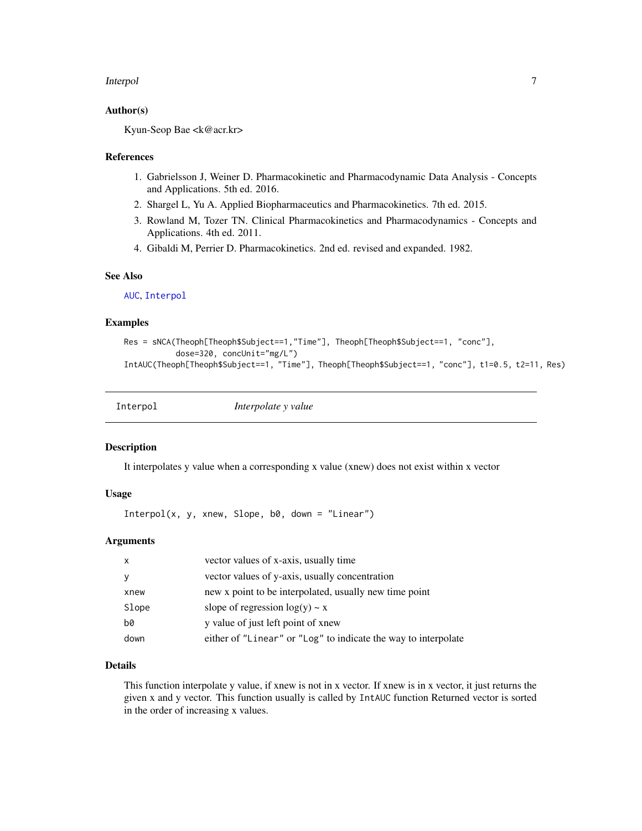#### <span id="page-6-0"></span>Interpol 7

#### Author(s)

Kyun-Seop Bae <k@acr.kr>

#### References

- 1. Gabrielsson J, Weiner D. Pharmacokinetic and Pharmacodynamic Data Analysis Concepts and Applications. 5th ed. 2016.
- 2. Shargel L, Yu A. Applied Biopharmaceutics and Pharmacokinetics. 7th ed. 2015.
- 3. Rowland M, Tozer TN. Clinical Pharmacokinetics and Pharmacodynamics Concepts and Applications. 4th ed. 2011.
- 4. Gibaldi M, Perrier D. Pharmacokinetics. 2nd ed. revised and expanded. 1982.

#### See Also

[AUC](#page-2-1), [Interpol](#page-6-1)

#### Examples

```
Res = sNCA(Theoph[Theoph$Subject==1,"Time"], Theoph[Theoph$Subject==1, "conc"],
           dose=320, concUnit="mg/L")
IntAUC(Theoph[Theoph$Subject==1, "Time"], Theoph[Theoph$Subject==1, "conc"], t1=0.5, t2=11, Res)
```
<span id="page-6-1"></span>

| Interpol | Interpolate y value |
|----------|---------------------|
|          |                     |

#### Description

It interpolates y value when a corresponding x value (xnew) does not exist within x vector

#### Usage

 $Interpol(x, y, xnew, Slope, b0, down = "Linear")$ 

#### Arguments

| $\mathsf{x}$ | vector values of x-axis, usually time                          |
|--------------|----------------------------------------------------------------|
| <b>y</b>     | vector values of y-axis, usually concentration                 |
| xnew         | new x point to be interpolated, usually new time point         |
| Slope        | slope of regression $log(y) \sim x$                            |
| b0           | y value of just left point of xnew                             |
| down         | either of "Linear" or "Log" to indicate the way to interpolate |

#### Details

This function interpolate y value, if xnew is not in x vector. If xnew is in x vector, it just returns the given x and y vector. This function usually is called by IntAUC function Returned vector is sorted in the order of increasing x values.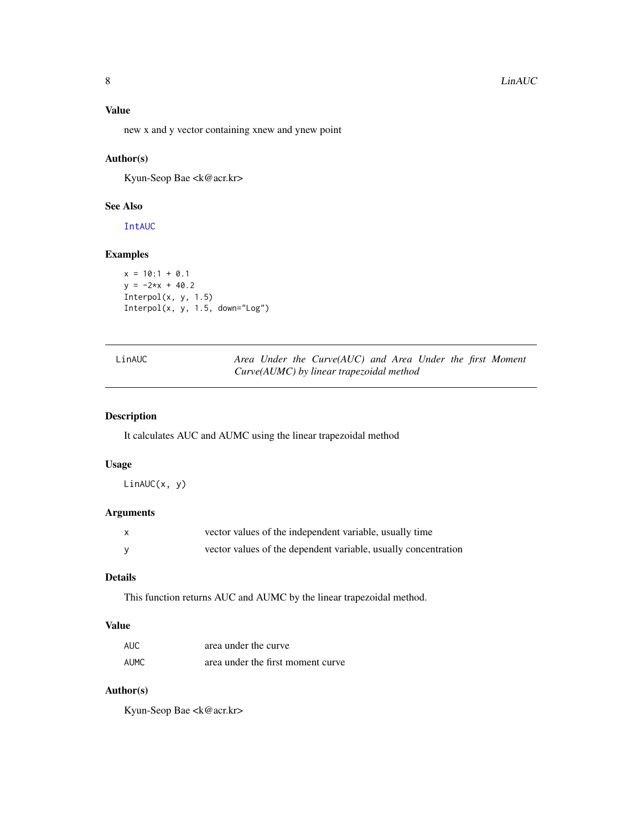#### <span id="page-7-0"></span>Value

new x and y vector containing xnew and ynew point

#### Author(s)

Kyun-Seop Bae <k@acr.kr>

#### See Also

[IntAUC](#page-5-1)

#### Examples

```
x = 10:1 + 0.1y = -2*x + 40.2Interpol(x, y, 1.5)
Interpol(x, y, 1.5, down="Log")
```
<span id="page-7-1"></span>

| LinAUC |  |
|--------|--|
|--------|--|

Area Under the Curve(AUC) and Area Under the first Moment *Curve(AUMC) by linear trapezoidal method*

#### Description

It calculates AUC and AUMC using the linear trapezoidal method

#### Usage

LinAUC(x, y)

#### Arguments

| X | vector values of the independent variable, usually time        |
|---|----------------------------------------------------------------|
|   | vector values of the dependent variable, usually concentration |

### Details

This function returns AUC and AUMC by the linear trapezoidal method.

#### Value

| <b>AUC</b> | area under the curve              |
|------------|-----------------------------------|
| AUMC       | area under the first moment curve |

#### Author(s)

Kyun-Seop Bae <k@acr.kr>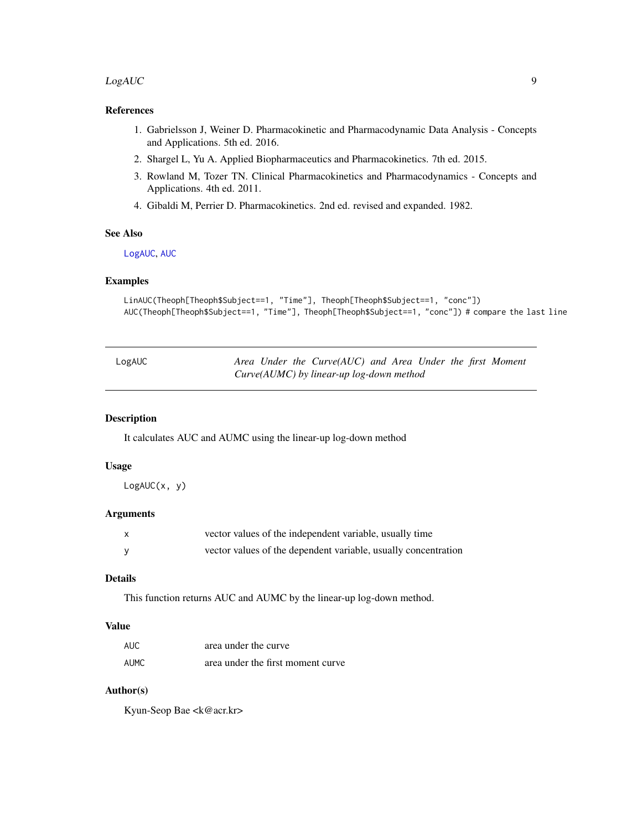#### <span id="page-8-0"></span> $LogAUC$  9

#### References

- 1. Gabrielsson J, Weiner D. Pharmacokinetic and Pharmacodynamic Data Analysis Concepts and Applications. 5th ed. 2016.
- 2. Shargel L, Yu A. Applied Biopharmaceutics and Pharmacokinetics. 7th ed. 2015.
- 3. Rowland M, Tozer TN. Clinical Pharmacokinetics and Pharmacodynamics Concepts and Applications. 4th ed. 2011.
- 4. Gibaldi M, Perrier D. Pharmacokinetics. 2nd ed. revised and expanded. 1982.

#### See Also

[LogAUC](#page-8-1), [AUC](#page-2-1)

#### Examples

```
LinAUC(Theoph[Theoph$Subject==1, "Time"], Theoph[Theoph$Subject==1, "conc"])
AUC(Theoph[Theoph$Subject==1, "Time"], Theoph[Theoph$Subject==1, "conc"]) # compare the last line
```
<span id="page-8-1"></span>

| LogAUC |  | Area Under the Curve(AUC) and Area Under the first Moment |  |  |  |
|--------|--|-----------------------------------------------------------|--|--|--|
|        |  | $Curve(AUMC)$ by linear-up log-down method                |  |  |  |

#### Description

It calculates AUC and AUMC using the linear-up log-down method

#### Usage

LogAUC(x, y)

#### Arguments

| vector values of the independent variable, usually time        |
|----------------------------------------------------------------|
| vector values of the dependent variable, usually concentration |

#### Details

This function returns AUC and AUMC by the linear-up log-down method.

#### Value

| <b>AUC</b> | area under the curve              |
|------------|-----------------------------------|
| AUMC       | area under the first moment curve |

#### Author(s)

Kyun-Seop Bae <k@acr.kr>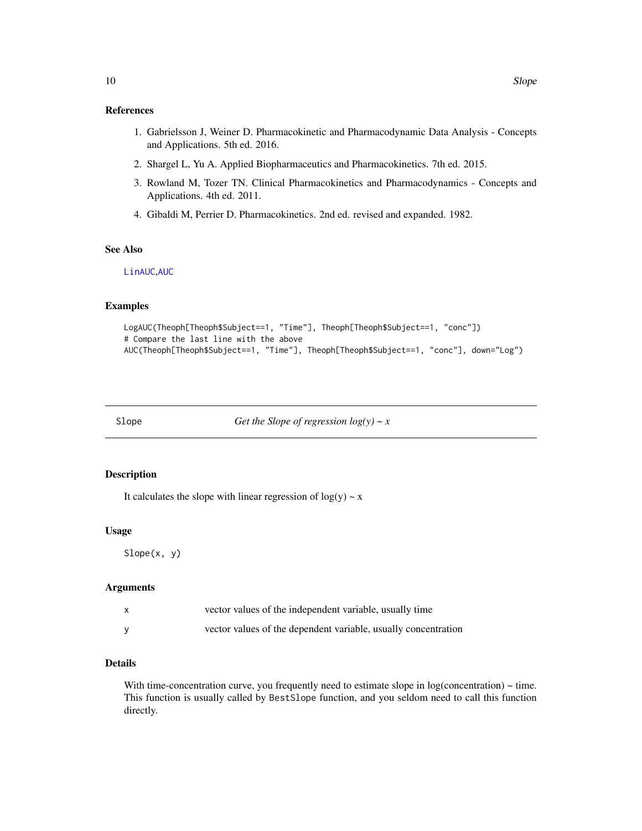#### <span id="page-9-0"></span>References

- 1. Gabrielsson J, Weiner D. Pharmacokinetic and Pharmacodynamic Data Analysis Concepts and Applications. 5th ed. 2016.
- 2. Shargel L, Yu A. Applied Biopharmaceutics and Pharmacokinetics. 7th ed. 2015.
- 3. Rowland M, Tozer TN. Clinical Pharmacokinetics and Pharmacodynamics Concepts and Applications. 4th ed. 2011.
- 4. Gibaldi M, Perrier D. Pharmacokinetics. 2nd ed. revised and expanded. 1982.

#### See Also

[LinAUC](#page-7-1),[AUC](#page-2-1)

#### Examples

```
LogAUC(Theoph[Theoph$Subject==1, "Time"], Theoph[Theoph$Subject==1, "conc"])
# Compare the last line with the above
AUC(Theoph[Theoph$Subject==1, "Time"], Theoph[Theoph$Subject==1, "conc"], down="Log")
```
<span id="page-9-1"></span>Slope *Get the Slope of regression log(y) ~ x*

#### Description

It calculates the slope with linear regression of  $log(y) \sim x$ 

#### Usage

Slope(x, y)

#### Arguments

| vector values of the independent variable, usually time        |
|----------------------------------------------------------------|
| vector values of the dependent variable, usually concentration |

#### Details

With time-concentration curve, you frequently need to estimate slope in  $log(concentration) \sim time$ . This function is usually called by BestSlope function, and you seldom need to call this function directly.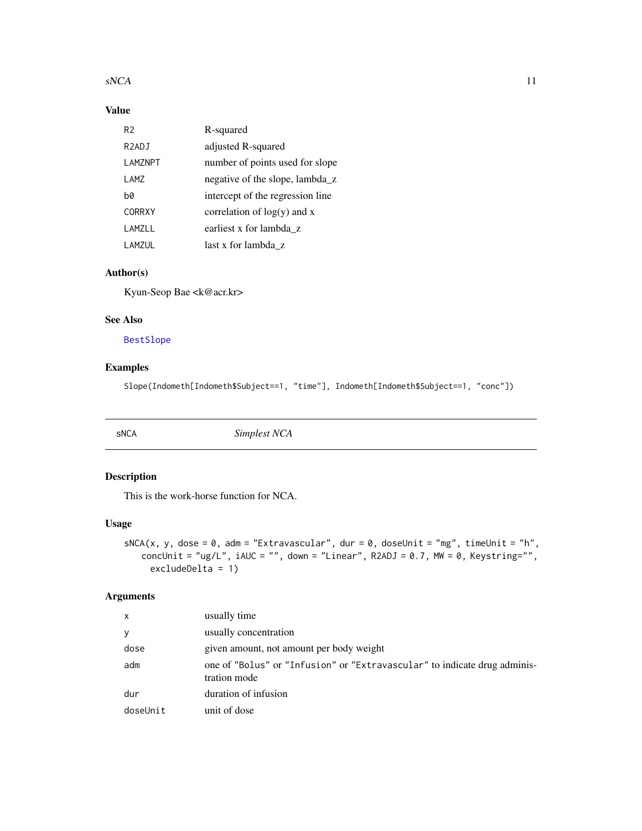#### <span id="page-10-0"></span> $sNCA$  11

#### Value

| R <sub>2</sub>     | R-squared                        |
|--------------------|----------------------------------|
| R <sub>2</sub> ADJ | adjusted R-squared               |
| LAMZNPT            | number of points used for slope  |
| LAMZ               | negative of the slope, lambda z  |
| hØ                 | intercept of the regression line |
| <b>CORRXY</b>      | correlation of $log(y)$ and x    |
| LAMZLL             | earliest x for lambda z          |
| LAMZUL             | last x for lambda z              |

#### Author(s)

Kyun-Seop Bae <k@acr.kr>

#### See Also

[BestSlope](#page-3-1)

#### Examples

Slope(Indometh[Indometh\$Subject==1, "time"], Indometh[Indometh\$Subject==1, "conc"])

<span id="page-10-1"></span>

sNCA *Simplest NCA*

#### Description

This is the work-horse function for NCA.

#### Usage

```
sNCA(x, y, dose = 0, adm = "Extravascular", dur = 0, doseUnit = "mg", timeUnit = "h",
   concUnit = "ug/L", iAUC = "", down = "Linear", R2ADJ = 0.7, MW = 0, Keystring=",
     excludeDelta = 1)
```
#### Arguments

| $\mathsf{x}$ | usually time                                                                              |
|--------------|-------------------------------------------------------------------------------------------|
| y            | usually concentration                                                                     |
| dose         | given amount, not amount per body weight                                                  |
| adm          | one of "Bolus" or "Infusion" or "Extravascular" to indicate drug adminis-<br>tration mode |
| dur          | duration of infusion                                                                      |
| doseUnit     | unit of dose                                                                              |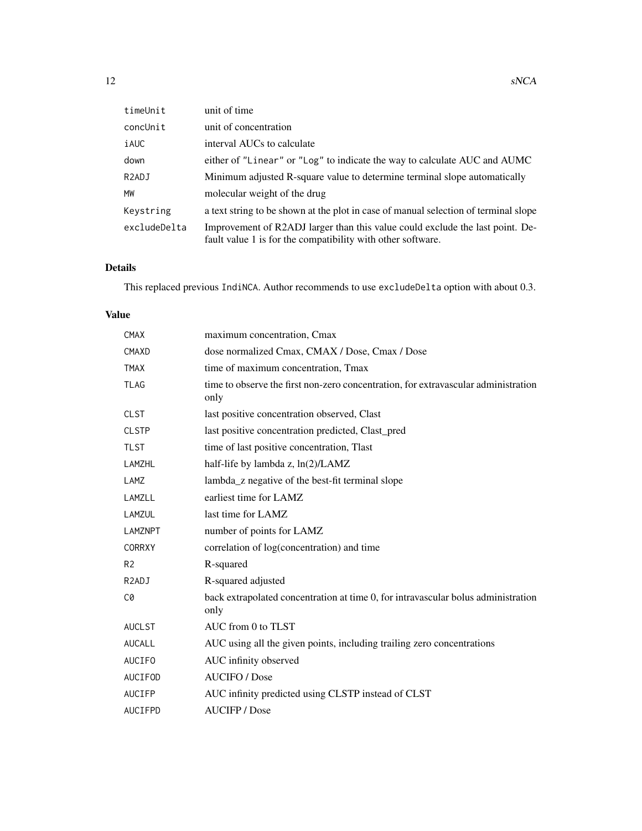| timeUnit           | unit of time                                                                                                                                 |
|--------------------|----------------------------------------------------------------------------------------------------------------------------------------------|
| concUnit           | unit of concentration                                                                                                                        |
| iAUC               | interval AUCs to calculate                                                                                                                   |
| down               | either of "Linear" or "Log" to indicate the way to calculate AUC and AUMC                                                                    |
| R <sub>2</sub> ADJ | Minimum adjusted R-square value to determine terminal slope automatically                                                                    |
| <b>MW</b>          | molecular weight of the drug                                                                                                                 |
| Keystring          | a text string to be shown at the plot in case of manual selection of terminal slope                                                          |
| excludeDelta       | Improvement of R2ADJ larger than this value could exclude the last point. De-<br>fault value 1 is for the compatibility with other software. |

#### Details

This replaced previous IndiNCA. Author recommends to use excludeDelta option with about 0.3.

#### Value

| <b>CMAX</b>        | maximum concentration, Cmax                                                                |
|--------------------|--------------------------------------------------------------------------------------------|
| CMAXD              | dose normalized Cmax, CMAX / Dose, Cmax / Dose                                             |
| <b>TMAX</b>        | time of maximum concentration, Tmax                                                        |
| <b>TLAG</b>        | time to observe the first non-zero concentration, for extravascular administration<br>only |
| <b>CLST</b>        | last positive concentration observed, Clast                                                |
| <b>CLSTP</b>       | last positive concentration predicted, Clast_pred                                          |
| <b>TLST</b>        | time of last positive concentration, Tlast                                                 |
| <b>LAMZHL</b>      | half-life by lambda z, ln(2)/LAMZ                                                          |
| LAMZ               | lambda_z negative of the best-fit terminal slope                                           |
| LAMZLL             | earliest time for LAMZ                                                                     |
| LAMZUL             | last time for LAMZ                                                                         |
| <b>LAMZNPT</b>     | number of points for LAMZ                                                                  |
| <b>CORRXY</b>      | correlation of log(concentration) and time                                                 |
| R <sub>2</sub>     | R-squared                                                                                  |
| R <sub>2</sub> ADJ | R-squared adjusted                                                                         |
| C0                 | back extrapolated concentration at time 0, for intravascular bolus administration<br>only  |
| <b>AUCLST</b>      | AUC from 0 to TLST                                                                         |
| <b>AUCALL</b>      | AUC using all the given points, including trailing zero concentrations                     |
| <b>AUCIFO</b>      | AUC infinity observed                                                                      |
| <b>AUCIFOD</b>     | <b>AUCIFO</b> / Dose                                                                       |
| <b>AUCIFP</b>      | AUC infinity predicted using CLSTP instead of CLST                                         |
| <b>AUCIFPD</b>     | <b>AUCIFP</b> / Dose                                                                       |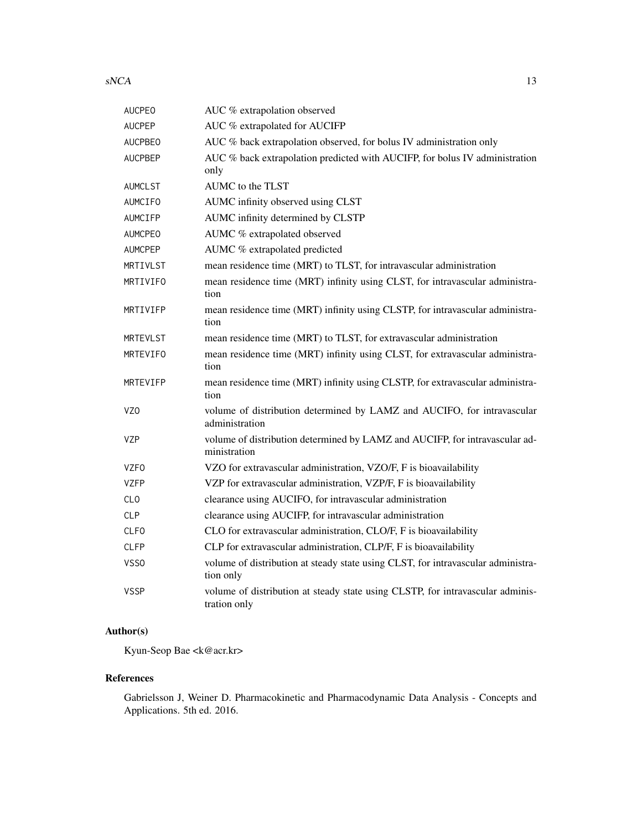$sNCA$  13

| <b>AUCPEO</b>   | AUC % extrapolation observed                                                                   |
|-----------------|------------------------------------------------------------------------------------------------|
| <b>AUCPEP</b>   | AUC % extrapolated for AUCIFP                                                                  |
| <b>AUCPBEO</b>  | AUC % back extrapolation observed, for bolus IV administration only                            |
| <b>AUCPBEP</b>  | AUC % back extrapolation predicted with AUCIFP, for bolus IV administration<br>only            |
| <b>AUMCLST</b>  | AUMC to the TLST                                                                               |
| AUMCIFO         | AUMC infinity observed using CLST                                                              |
| AUMCIFP         | AUMC infinity determined by CLSTP                                                              |
| <b>AUMCPEO</b>  | AUMC % extrapolated observed                                                                   |
| <b>AUMCPEP</b>  | AUMC % extrapolated predicted                                                                  |
| MRTIVLST        | mean residence time (MRT) to TLST, for intravascular administration                            |
| MRTIVIFO        | mean residence time (MRT) infinity using CLST, for intravascular administra-<br>tion           |
| MRTIVIFP        | mean residence time (MRT) infinity using CLSTP, for intravascular administra-<br>tion          |
| <b>MRTEVLST</b> | mean residence time (MRT) to TLST, for extravascular administration                            |
| MRTEVIFO        | mean residence time (MRT) infinity using CLST, for extravascular administra-<br>tion           |
| MRTEVIFP        | mean residence time (MRT) infinity using CLSTP, for extravascular administra-<br>tion          |
| VZ <sub>0</sub> | volume of distribution determined by LAMZ and AUCIFO, for intravascular<br>administration      |
| <b>VZP</b>      | volume of distribution determined by LAMZ and AUCIFP, for intravascular ad-<br>ministration    |
| <b>VZFO</b>     | VZO for extravascular administration, VZO/F, F is bioavailability                              |
| <b>VZFP</b>     | VZP for extravascular administration, VZP/F, F is bioavailability                              |
| <b>CLO</b>      | clearance using AUCIFO, for intravascular administration                                       |
| <b>CLP</b>      | clearance using AUCIFP, for intravascular administration                                       |
| <b>CLFO</b>     | CLO for extravascular administration, CLO/F, F is bioavailability                              |
| <b>CLFP</b>     | CLP for extravascular administration, CLP/F, F is bioavailability                              |
| VSS0            | volume of distribution at steady state using CLST, for intravascular administra-<br>tion only  |
| <b>VSSP</b>     | volume of distribution at steady state using CLSTP, for intravascular adminis-<br>tration only |

#### Author(s)

Kyun-Seop Bae <k@acr.kr>

### References

Gabrielsson J, Weiner D. Pharmacokinetic and Pharmacodynamic Data Analysis - Concepts and Applications. 5th ed. 2016.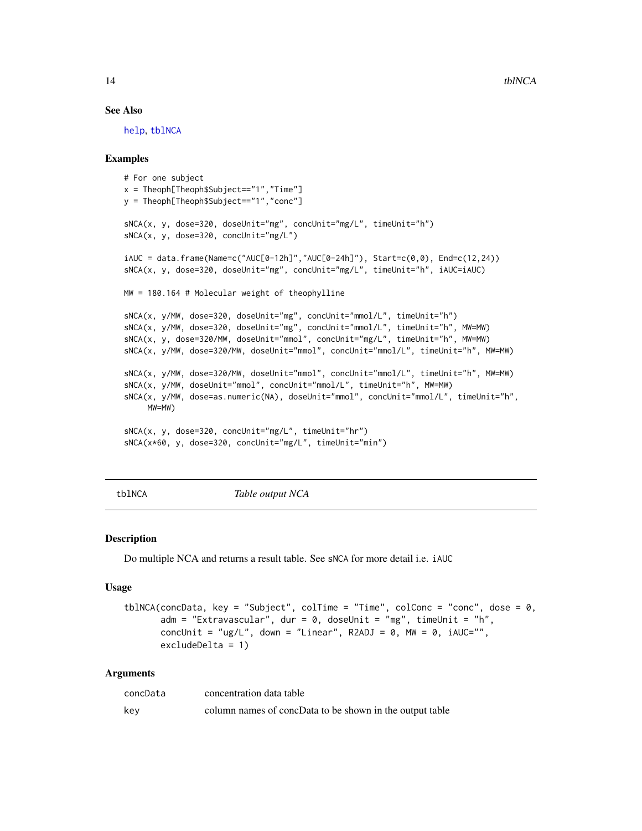#### See Also

[help](#page-0-0), [tblNCA](#page-13-1)

#### Examples

```
# For one subject
x = Theoph[Theoph$Subject=="1","Time"]
y = Theoph[Theoph$Subject=="1","conc"]
sNCA(x, y, dose=320, doseUnit="mg", concUnit="mg/L", timeUnit="h")
sNCA(x, y, dose=320, concUnit="mg/L")
iAUC = data簡 (Name=c("AUC[0-12h]","AUC[0-24h]"), Start=c(0,0), End=c(12,24))
sNCA(x, y, dose=320, doseUnit="mg", concUnit="mg/L", timeUnit="h", iAUC=iAUC)
MW = 180.164 # Molecular weight of theophylline
sNCA(x, y/MW, dose=320, doseUnit="mg", concUnit="mmol/L", timeUnit="h")
sNCA(x, y/MW, dose=320, doseUnit="mg", concUnit="mmol/L", timeUnit="h", MW=MW)
sNCA(x, y, dose=320/MW, doseUnit="mmol", concUnit="mg/L", timeUnit="h", MW=MW)
sNCA(x, y/MW, dose=320/MW, doseUnit="mmol", concUnit="mmol/L", timeUnit="h", MW=MW)
sNCA(x, y/MW, dose=320/MW, doseUnit="mmol", concUnit="mmol/L", timeUnit="h", MW=MW)
sNCA(x, y/MW, doseUnit="mmol", concUnit="mmol/L", timeUnit="h", MW=MW)
sNCA(x, y/MW, dose=as.numeric(NA), doseUnit="mmol", concUnit="mmol/L", timeUnit="h",
    MW=MW)
sNCA(x, y, dose=320, concUnit="mg/L", timeUnit="hr")
sNCA(x*60, y, dose=320, concUnit="mg/L", timeUnit="min")
```
tblNCA *Table output NCA*

#### **Description**

Do multiple NCA and returns a result table. See sNCA for more detail i.e. iAUC

#### Usage

```
tblNCA(concData, key = "Subject", colTime = "Time", colConc = "conc", dose = \theta,
       adm = "Extravascular", dur = 0, doselInit = "mg", timeUnit = "h",concUnit = "ug/L", down = "Linear", R2ADJ = 0, MW = 0, iAUC="",
       excludeDelta = 1)
```
#### Arguments

| concData | concentration data table                                 |
|----------|----------------------------------------------------------|
| key      | column names of concData to be shown in the output table |

<span id="page-13-0"></span>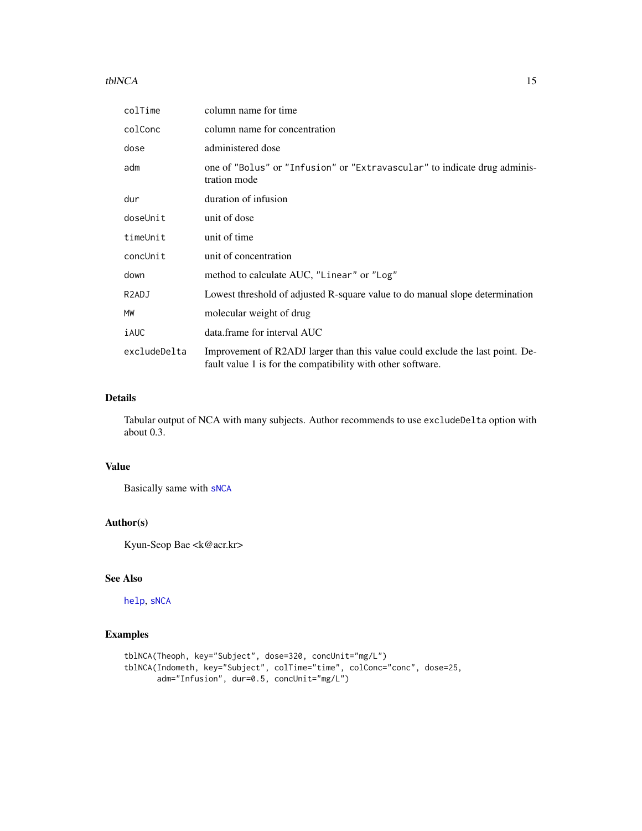#### <span id="page-14-0"></span> $tblNCA$  15

| colTime            | column name for time                                                                                                                         |
|--------------------|----------------------------------------------------------------------------------------------------------------------------------------------|
| colConc            | column name for concentration                                                                                                                |
| dose               | administered dose                                                                                                                            |
| adm                | one of "Bolus" or "Infusion" or "Extravascular" to indicate drug adminis-<br>tration mode                                                    |
| dur                | duration of infusion                                                                                                                         |
| doseUnit           | unit of dose                                                                                                                                 |
| timeUnit           | unit of time                                                                                                                                 |
| concUnit           | unit of concentration                                                                                                                        |
| down               | method to calculate AUC, "Linear" or "Log"                                                                                                   |
| R <sub>2</sub> ADJ | Lowest threshold of adjusted R-square value to do manual slope determination                                                                 |
| MW                 | molecular weight of drug                                                                                                                     |
| iAUC               | data.frame for interval AUC                                                                                                                  |
| excludeDelta       | Improvement of R2ADJ larger than this value could exclude the last point. De-<br>fault value 1 is for the compatibility with other software. |

#### Details

Tabular output of NCA with many subjects. Author recommends to use excludeDelta option with about 0.3.

#### Value

Basically same with [sNCA](#page-10-1)

#### Author(s)

Kyun-Seop Bae <k@acr.kr>

#### See Also

[help](#page-0-0), [sNCA](#page-10-1)

```
tblNCA(Theoph, key="Subject", dose=320, concUnit="mg/L")
tblNCA(Indometh, key="Subject", colTime="time", colConc="conc", dose=25,
       adm="Infusion", dur=0.5, concUnit="mg/L")
```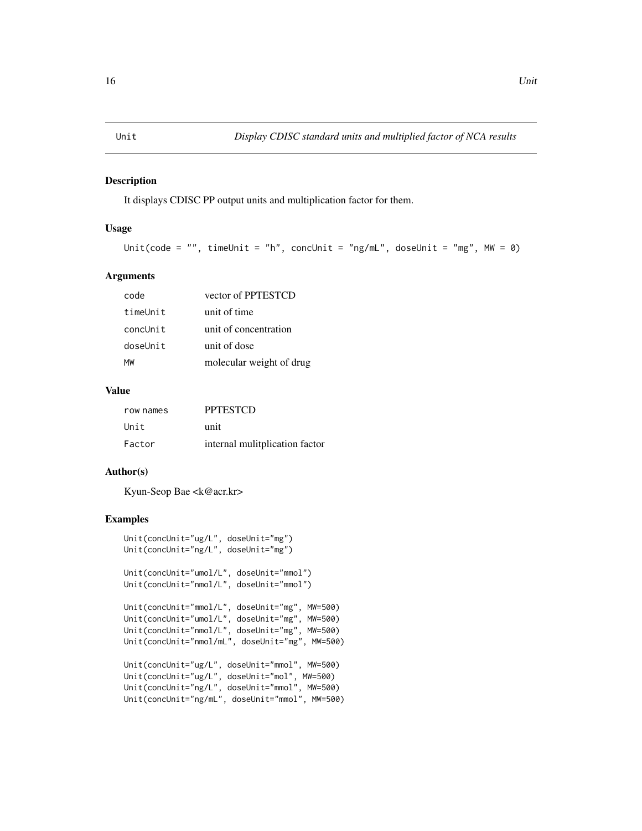<span id="page-15-0"></span>

#### Description

It displays CDISC PP output units and multiplication factor for them.

#### Usage

```
Unit(code = "", timeUnit = "h", concUnit = "ng/mL", doseUnit = "mg", MW = 0)
```
#### Arguments

| MW       | molecular weight of drug |
|----------|--------------------------|
| doseUnit | unit of dose             |
| concUnit | unit of concentration    |
| timeUnit | unit of time             |
| code     | vector of PPTESTCD       |

#### Value

| row names | <b>PPTESTCD</b>                |
|-----------|--------------------------------|
| Unit      | unit                           |
| Factor    | internal mulitplication factor |

#### Author(s)

Kyun-Seop Bae <k@acr.kr>

```
Unit(concUnit="ug/L", doseUnit="mg")
Unit(concUnit="ng/L", doseUnit="mg")
Unit(concUnit="umol/L", doseUnit="mmol")
Unit(concUnit="nmol/L", doseUnit="mmol")
Unit(concUnit="mmol/L", doseUnit="mg", MW=500)
Unit(concUnit="umol/L", doseUnit="mg", MW=500)
Unit(concUnit="nmol/L", doseUnit="mg", MW=500)
Unit(concUnit="nmol/mL", doseUnit="mg", MW=500)
Unit(concUnit="ug/L", doseUnit="mmol", MW=500)
Unit(concUnit="ug/L", doseUnit="mol", MW=500)
Unit(concUnit="ng/L", doseUnit="mmol", MW=500)
Unit(concUnit="ng/mL", doseUnit="mmol", MW=500)
```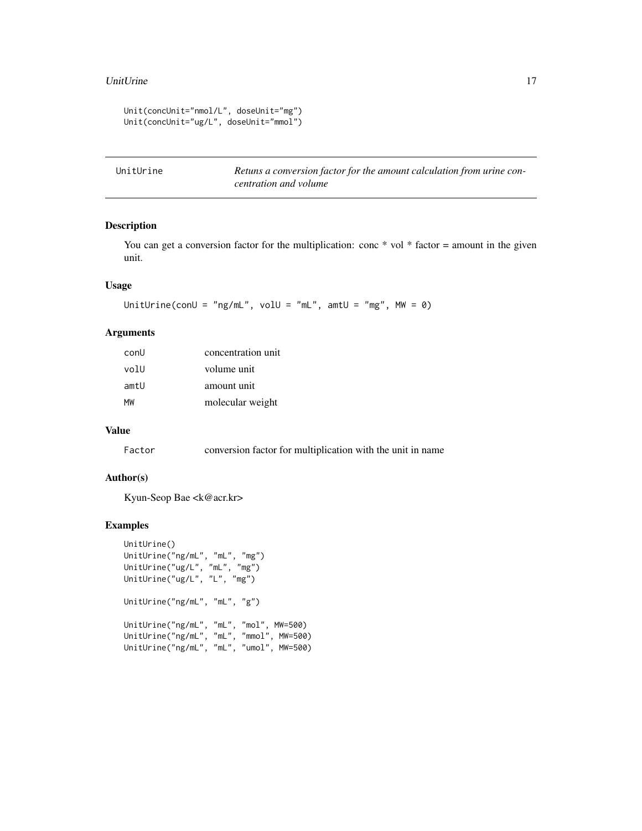#### <span id="page-16-0"></span>UnitUrine 17

```
Unit(concUnit="nmol/L", doseUnit="mg")
Unit(concUnit="ug/L", doseUnit="mmol")
```
UnitUrine *Retuns a conversion factor for the amount calculation from urine concentration and volume*

#### Description

You can get a conversion factor for the multiplication: conc  $*$  vol  $*$  factor = amount in the given unit.

#### Usage

```
UnitUrine(conU = "ng/mL", volU = "mL", amtU = "mg", MW = 0)
```
#### Arguments

| conU | concentration unit |
|------|--------------------|
| volU | volume unit        |
| amtU | amount unit        |
| MW   | molecular weight   |

#### Value

Factor conversion factor for multiplication with the unit in name

#### Author(s)

Kyun-Seop Bae <k@acr.kr>

```
UnitUrine()
UnitUrine("ng/mL", "mL", "mg")
UnitUrine("ug/L", "mL", "mg")
UnitUrine("ug/L", "L", "mg")
UnitUrine("ng/mL", "mL", "g")
UnitUrine("ng/mL", "mL", "mol", MW=500)
UnitUrine("ng/mL", "mL", "mmol", MW=500)
UnitUrine("ng/mL", "mL", "umol", MW=500)
```